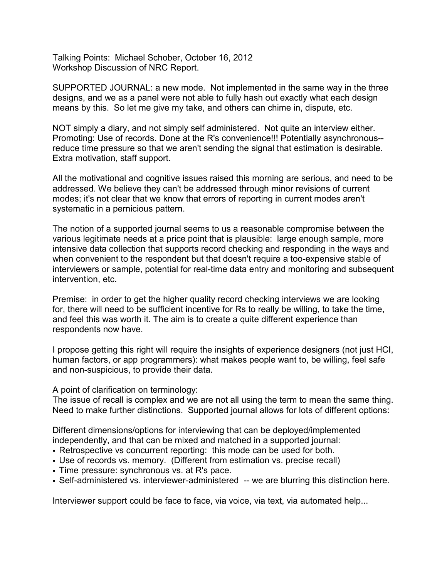Talking Points: Michael Schober, October 16, 2012 Workshop Discussion of NRC Report.

SUPPORTED JOURNAL: a new mode. Not implemented in the same way in the three designs, and we as a panel were not able to fully hash out exactly what each design means by this. So let me give my take, and others can chime in, dispute, etc.

NOT simply a diary, and not simply self administered. Not quite an interview either. Promoting: Use of records. Done at the R's convenience!!! Potentially asynchronous- reduce time pressure so that we aren't sending the signal that estimation is desirable. Extra motivation, staff support.

All the motivational and cognitive issues raised this morning are serious, and need to be addressed. We believe they can't be addressed through minor revisions of current modes; it's not clear that we know that errors of reporting in current modes aren't systematic in a pernicious pattern.

The notion of a supported journal seems to us a reasonable compromise between the various legitimate needs at a price point that is plausible: large enough sample, more intensive data collection that supports record checking and responding in the ways and when convenient to the respondent but that doesn't require a too-expensive stable of interviewers or sample, potential for real-time data entry and monitoring and subsequent intervention, etc.

Premise: in order to get the higher quality record checking interviews we are looking for, there will need to be sufficient incentive for Rs to really be willing, to take the time, and feel this was worth it. The aim is to create a quite different experience than respondents now have.

I propose getting this right will require the insights of experience designers (not just HCI, human factors, or app programmers): what makes people want to, be willing, feel safe and non-suspicious, to provide their data.

A point of clarification on terminology:

The issue of recall is complex and we are not all using the term to mean the same thing. Need to make further distinctions. Supported journal allows for lots of different options:

Different dimensions/options for interviewing that can be deployed/implemented independently, and that can be mixed and matched in a supported journal:

- Retrospective vs concurrent reporting: this mode can be used for both.
- Use of records vs. memory. (Different from estimation vs. precise recall)
- Time pressure: synchronous vs. at R's pace.
- Self-administered vs. interviewer-administered -- we are blurring this distinction here.

Interviewer support could be face to face, via voice, via text, via automated help...